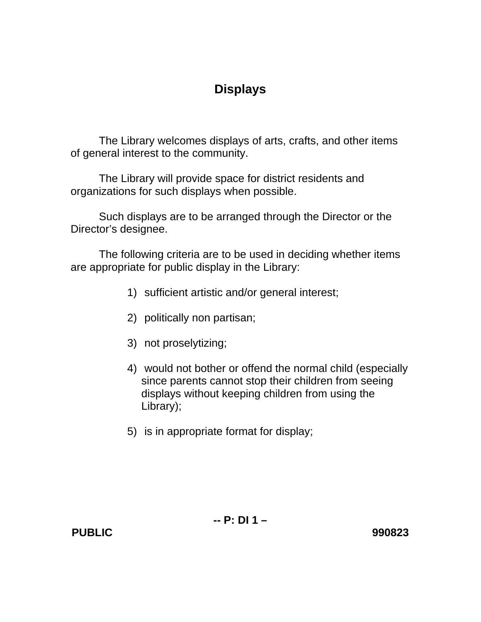## **Displays**

The Library welcomes displays of arts, crafts, and other items of general interest to the community.

 The Library will provide space for district residents and organizations for such displays when possible.

Such displays are to be arranged through the Director or the Director's designee.

The following criteria are to be used in deciding whether items are appropriate for public display in the Library:

- 1) sufficient artistic and/or general interest;
- 2) politically non partisan;
- 3) not proselytizing;
- 4) would not bother or offend the normal child (especially since parents cannot stop their children from seeing displays without keeping children from using the Library);
- 5) is in appropriate format for display;

**PUBLIC 990823**